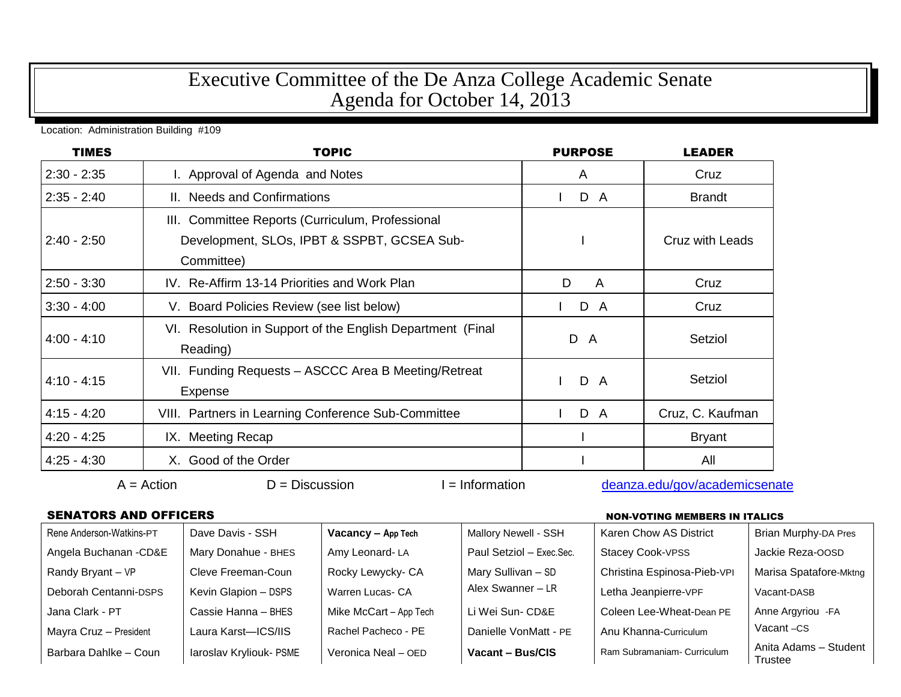# Executive Committee of the De Anza College Academic Senate Agenda for October 14, 2013

### Location: Administration Building #109

| <b>TIMES</b>  | <b>TOPIC</b>                                               | <b>PURPOSE</b>      | <b>LEADER</b>    |  |
|---------------|------------------------------------------------------------|---------------------|------------------|--|
| $2:30 - 2:35$ | I. Approval of Agenda and Notes                            | A                   | Cruz             |  |
| $2:35 - 2:40$ | II. Needs and Confirmations                                | D A<br>$\mathbf{L}$ | <b>Brandt</b>    |  |
|               | III. Committee Reports (Curriculum, Professional           |                     |                  |  |
| $2:40 - 2:50$ | Development, SLOs, IPBT & SSPBT, GCSEA Sub-                |                     |                  |  |
|               | Committee)                                                 |                     |                  |  |
| $2:50 - 3:30$ | IV. Re-Affirm 13-14 Priorities and Work Plan               | D<br>A              | Cruz             |  |
| $3:30 - 4:00$ | V. Board Policies Review (see list below)                  | D A                 | Cruz             |  |
| $4:00 - 4:10$ | VI. Resolution in Support of the English Department (Final | D A                 | Setziol          |  |
|               | Reading)                                                   |                     |                  |  |
| $4:10 - 4:15$ | VII. Funding Requests - ASCCC Area B Meeting/Retreat       | D A                 | Setziol          |  |
|               | Expense                                                    |                     |                  |  |
| $4:15 - 4:20$ | VIII. Partners in Learning Conference Sub-Committee        | D A                 | Cruz, C. Kaufman |  |
| $4:20 - 4:25$ | IX. Meeting Recap                                          |                     | <b>Bryant</b>    |  |
| $4:25 - 4:30$ | X. Good of the Order                                       |                     | All              |  |

# $A =$ Action  $D =$  Discussion I = Information [deanza.edu/gov/academicsenate](http://www.deanza.edu/gov/academicsenate)

## SENATORS AND OFFICERS NON-VOTING MEMBERS IN ITALICS

| Rene Anderson-Watkins-PT | Dave Davis - SSH        | Vacancy - App Tech     | Mallory Newell - SSH     | <b>Karen Chow AS District</b> | <b>Brian Murphy-DA Pres</b>      |
|--------------------------|-------------------------|------------------------|--------------------------|-------------------------------|----------------------------------|
| Angela Buchanan - CD&E   | Mary Donahue - BHES     | Amy Leonard-LA         | Paul Setziol - Exec.Sec. | <b>Stacey Cook-VPSS</b>       | Jackie Reza-OOSD                 |
| Randy Bryant - VP        | Cleve Freeman-Coun      | Rocky Lewycky- CA      | Mary Sullivan - SD       | Christina Espinosa-Pieb-VPI   | Marisa Spatafore-Mktng           |
| Deborah Centanni-DSPS    | Kevin Glapion - DSPS    | Warren Lucas- CA       | Alex Swanner - LR        | Letha Jeanpierre-VPF          | Vacant-DASB                      |
| Jana Clark - PT          | Cassie Hanna - BHES     | Mike McCart - App Tech | Li Wei Sun- CD&E         | Coleen Lee-Wheat-Dean PE      | Anne Argyriou - FA               |
| Mayra Cruz - President   | Laura Karst-ICS/IIS     | Rachel Pacheco - PE    | Danielle VonMatt - PE    | Anu Khanna-Curriculum         | Vacant-CS                        |
| Barbara Dahlke - Coun    | laroslav Kryliouk- PSME | Veronica Neal - OED    | Vacant - Bus/CIS         | Ram Subramaniam- Curriculum   | Anita Adams - Student<br>Trustee |